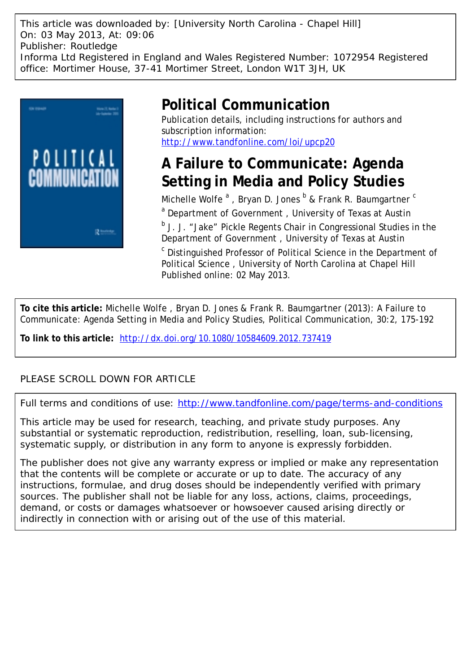This article was downloaded by: [University North Carolina - Chapel Hill] On: 03 May 2013, At: 09:06 Publisher: Routledge Informa Ltd Registered in England and Wales Registered Number: 1072954 Registered office: Mortimer House, 37-41 Mortimer Street, London W1T 3JH, UK



# **Political Communication**

Publication details, including instructions for authors and subscription information: <http://www.tandfonline.com/loi/upcp20>

# **A Failure to Communicate: Agenda Setting in Media and Policy Studies**

Michelle Wolfe  $^{\rm a}$  , Bryan D. Jones  $^{\rm b}$  & Frank R. Baumgartner  $^{\rm c}$ <sup>a</sup> Department of Government, University of Texas at Austin

<sup>b</sup> J. J. "Jake" Pickle Regents Chair in Congressional Studies in the Department of Government , University of Texas at Austin

<sup>c</sup> Distinguished Professor of Political Science in the Department of Political Science , University of North Carolina at Chapel Hill Published online: 02 May 2013.

**To cite this article:** Michelle Wolfe , Bryan D. Jones & Frank R. Baumgartner (2013): A Failure to Communicate: Agenda Setting in Media and Policy Studies, Political Communication, 30:2, 175-192

**To link to this article:** <http://dx.doi.org/10.1080/10584609.2012.737419>

### PLEASE SCROLL DOWN FOR ARTICLE

Full terms and conditions of use:<http://www.tandfonline.com/page/terms-and-conditions>

This article may be used for research, teaching, and private study purposes. Any substantial or systematic reproduction, redistribution, reselling, loan, sub-licensing, systematic supply, or distribution in any form to anyone is expressly forbidden.

The publisher does not give any warranty express or implied or make any representation that the contents will be complete or accurate or up to date. The accuracy of any instructions, formulae, and drug doses should be independently verified with primary sources. The publisher shall not be liable for any loss, actions, claims, proceedings, demand, or costs or damages whatsoever or howsoever caused arising directly or indirectly in connection with or arising out of the use of this material.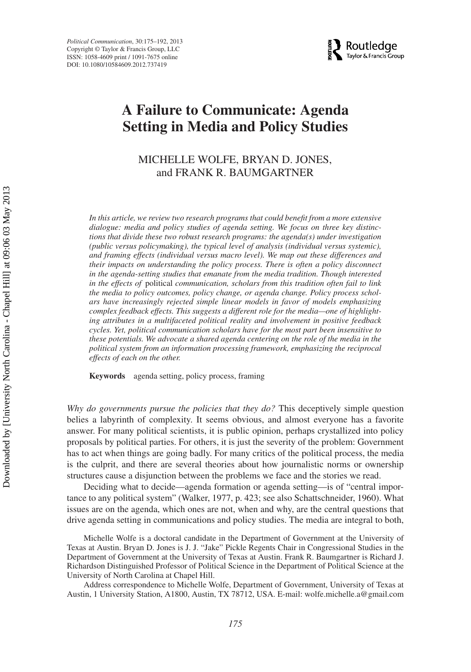*Political Communication*, 30:175–192, 2013 Copyright © Taylor & Francis Group, LLC ISSN: 1058-4609 print / 1091-7675 online DOI: 10.1080/10584609.2012.737419



### **A Failure to Communicate: Agenda Setting in Media and Policy Studies**

MICHELLE WOLFE, BRYAN D. JONES, and FRANK R. BAUMGARTNER

*In this article, we review two research programs that could benefit from a more extensive dialogue: media and policy studies of agenda setting. We focus on three key distinctions that divide these two robust research programs: the agenda(s) under investigation (public versus policymaking), the typical level of analysis (individual versus systemic), and framing effects (individual versus macro level). We map out these differences and their impacts on understanding the policy process. There is often a policy disconnect in the agenda-setting studies that emanate from the media tradition. Though interested in the effects of* political *communication, scholars from this tradition often fail to link the media to policy outcomes, policy change, or agenda change. Policy process scholars have increasingly rejected simple linear models in favor of models emphasizing complex feedback effects. This suggests a different role for the media—one of highlighting attributes in a multifaceted political reality and involvement in positive feedback cycles. Yet, political communication scholars have for the most part been insensitive to these potentials. We advocate a shared agenda centering on the role of the media in the political system from an information processing framework, emphasizing the reciprocal effects of each on the other.*

**Keywords** agenda setting, policy process, framing

*Why do governments pursue the policies that they do?* This deceptively simple question belies a labyrinth of complexity. It seems obvious, and almost everyone has a favorite answer. For many political scientists, it is public opinion, perhaps crystallized into policy proposals by political parties. For others, it is just the severity of the problem: Government has to act when things are going badly. For many critics of the political process, the media is the culprit, and there are several theories about how journalistic norms or ownership structures cause a disjunction between the problems we face and the stories we read.

Deciding what to decide—agenda formation or agenda setting—is of "central importance to any political system" (Walker, 1977, p. 423; see also Schattschneider, 1960). What issues are on the agenda, which ones are not, when and why, are the central questions that drive agenda setting in communications and policy studies. The media are integral to both,

Address correspondence to Michelle Wolfe, Department of Government, University of Texas at Austin, 1 University Station, A1800, Austin, TX 78712, USA. E-mail: wolfe.michelle.a@gmail.com

Michelle Wolfe is a doctoral candidate in the Department of Government at the University of Texas at Austin. Bryan D. Jones is J. J. "Jake" Pickle Regents Chair in Congressional Studies in the Department of Government at the University of Texas at Austin. Frank R. Baumgartner is Richard J. Richardson Distinguished Professor of Political Science in the Department of Political Science at the University of North Carolina at Chapel Hill.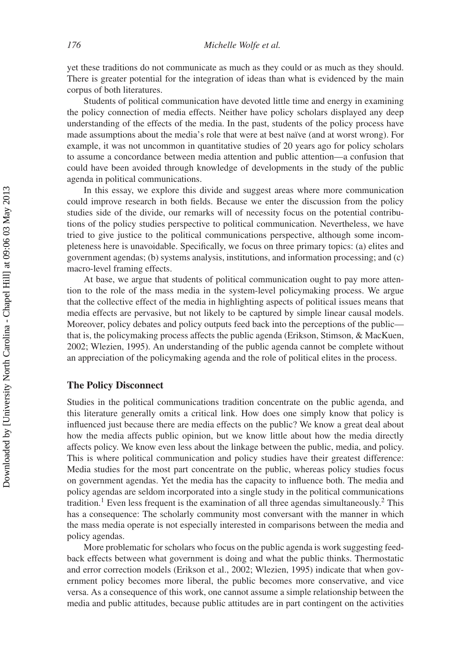yet these traditions do not communicate as much as they could or as much as they should. There is greater potential for the integration of ideas than what is evidenced by the main corpus of both literatures.

Students of political communication have devoted little time and energy in examining the policy connection of media effects. Neither have policy scholars displayed any deep understanding of the effects of the media. In the past, students of the policy process have made assumptions about the media's role that were at best naïve (and at worst wrong). For example, it was not uncommon in quantitative studies of 20 years ago for policy scholars to assume a concordance between media attention and public attention—a confusion that could have been avoided through knowledge of developments in the study of the public agenda in political communications.

In this essay, we explore this divide and suggest areas where more communication could improve research in both fields. Because we enter the discussion from the policy studies side of the divide, our remarks will of necessity focus on the potential contributions of the policy studies perspective to political communication. Nevertheless, we have tried to give justice to the political communications perspective, although some incompleteness here is unavoidable. Specifically, we focus on three primary topics: (a) elites and government agendas; (b) systems analysis, institutions, and information processing; and (c) macro-level framing effects.

At base, we argue that students of political communication ought to pay more attention to the role of the mass media in the system-level policymaking process. We argue that the collective effect of the media in highlighting aspects of political issues means that media effects are pervasive, but not likely to be captured by simple linear causal models. Moreover, policy debates and policy outputs feed back into the perceptions of the public that is, the policymaking process affects the public agenda (Erikson, Stimson, & MacKuen, 2002; Wlezien, 1995). An understanding of the public agenda cannot be complete without an appreciation of the policymaking agenda and the role of political elites in the process.

#### **The Policy Disconnect**

Studies in the political communications tradition concentrate on the public agenda, and this literature generally omits a critical link. How does one simply know that policy is influenced just because there are media effects on the public? We know a great deal about how the media affects public opinion, but we know little about how the media directly affects policy. We know even less about the linkage between the public, media, and policy. This is where political communication and policy studies have their greatest difference: Media studies for the most part concentrate on the public, whereas policy studies focus on government agendas. Yet the media has the capacity to influence both. The media and policy agendas are seldom incorporated into a single study in the political communications tradition.<sup>1</sup> Even less frequent is the examination of all three agendas simultaneously.<sup>2</sup> This has a consequence: The scholarly community most conversant with the manner in which the mass media operate is not especially interested in comparisons between the media and policy agendas.

More problematic for scholars who focus on the public agenda is work suggesting feedback effects between what government is doing and what the public thinks. Thermostatic and error correction models (Erikson et al., 2002; Wlezien, 1995) indicate that when government policy becomes more liberal, the public becomes more conservative, and vice versa. As a consequence of this work, one cannot assume a simple relationship between the media and public attitudes, because public attitudes are in part contingent on the activities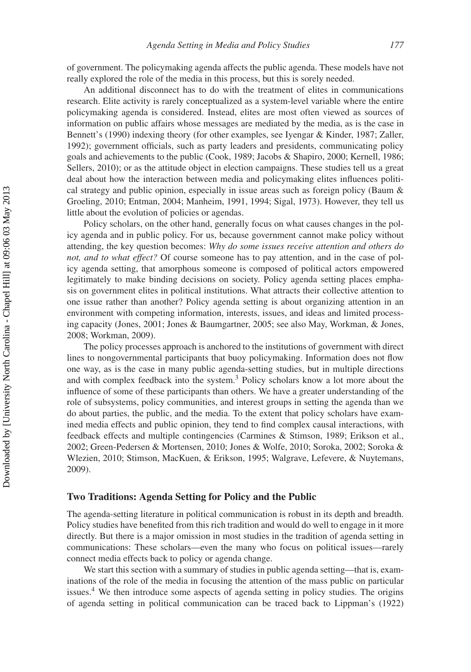of government. The policymaking agenda affects the public agenda. These models have not really explored the role of the media in this process, but this is sorely needed.

An additional disconnect has to do with the treatment of elites in communications research. Elite activity is rarely conceptualized as a system-level variable where the entire policymaking agenda is considered. Instead, elites are most often viewed as sources of information on public affairs whose messages are mediated by the media, as is the case in Bennett's (1990) indexing theory (for other examples, see Iyengar & Kinder, 1987; Zaller, 1992); government officials, such as party leaders and presidents, communicating policy goals and achievements to the public (Cook, 1989; Jacobs & Shapiro, 2000; Kernell, 1986; Sellers, 2010); or as the attitude object in election campaigns. These studies tell us a great deal about how the interaction between media and policymaking elites influences political strategy and public opinion, especially in issue areas such as foreign policy (Baum & Groeling, 2010; Entman, 2004; Manheim, 1991, 1994; Sigal, 1973). However, they tell us little about the evolution of policies or agendas.

Policy scholars, on the other hand, generally focus on what causes changes in the policy agenda and in public policy. For us, because government cannot make policy without attending, the key question becomes: *Why do some issues receive attention and others do not, and to what effect?* Of course someone has to pay attention, and in the case of policy agenda setting, that amorphous someone is composed of political actors empowered legitimately to make binding decisions on society. Policy agenda setting places emphasis on government elites in political institutions. What attracts their collective attention to one issue rather than another? Policy agenda setting is about organizing attention in an environment with competing information, interests, issues, and ideas and limited processing capacity (Jones, 2001; Jones & Baumgartner, 2005; see also May, Workman, & Jones, 2008; Workman, 2009).

The policy processes approach is anchored to the institutions of government with direct lines to nongovernmental participants that buoy policymaking. Information does not flow one way, as is the case in many public agenda-setting studies, but in multiple directions and with complex feedback into the system.<sup>3</sup> Policy scholars know a lot more about the influence of some of these participants than others. We have a greater understanding of the role of subsystems, policy communities, and interest groups in setting the agenda than we do about parties, the public, and the media. To the extent that policy scholars have examined media effects and public opinion, they tend to find complex causal interactions, with feedback effects and multiple contingencies (Carmines & Stimson, 1989; Erikson et al., 2002; Green-Pedersen & Mortensen, 2010; Jones & Wolfe, 2010; Soroka, 2002; Soroka & Wlezien, 2010; Stimson, MacKuen, & Erikson, 1995; Walgrave, Lefevere, & Nuytemans, 2009).

#### **Two Traditions: Agenda Setting for Policy and the Public**

The agenda-setting literature in political communication is robust in its depth and breadth. Policy studies have benefited from this rich tradition and would do well to engage in it more directly. But there is a major omission in most studies in the tradition of agenda setting in communications: These scholars—even the many who focus on political issues—rarely connect media effects back to policy or agenda change.

We start this section with a summary of studies in public agenda setting—that is, examinations of the role of the media in focusing the attention of the mass public on particular issues.<sup>4</sup> We then introduce some aspects of agenda setting in policy studies. The origins of agenda setting in political communication can be traced back to Lippman's (1922)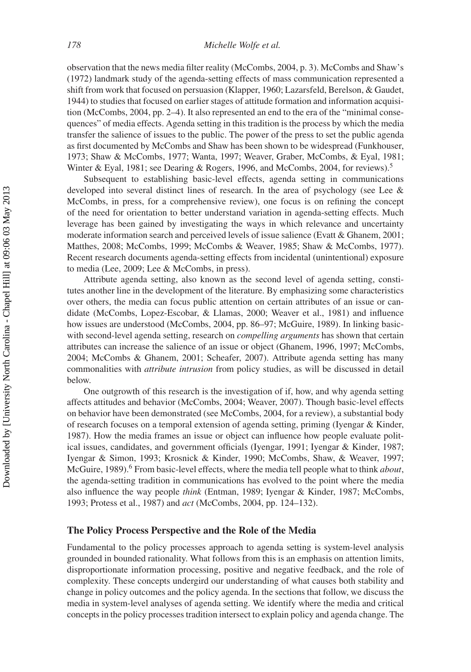observation that the news media filter reality (McCombs, 2004, p. 3). McCombs and Shaw's (1972) landmark study of the agenda-setting effects of mass communication represented a shift from work that focused on persuasion (Klapper, 1960; Lazarsfeld, Berelson, & Gaudet, 1944) to studies that focused on earlier stages of attitude formation and information acquisition (McCombs, 2004, pp. 2–4). It also represented an end to the era of the "minimal consequences" of media effects. Agenda setting in this tradition is the process by which the media transfer the salience of issues to the public. The power of the press to set the public agenda as first documented by McCombs and Shaw has been shown to be widespread (Funkhouser, 1973; Shaw & McCombs, 1977; Wanta, 1997; Weaver, Graber, McCombs, & Eyal, 1981; Winter & Eyal, 1981; see Dearing & Rogers, 1996, and McCombs, 2004, for reviews).<sup>5</sup>

Subsequent to establishing basic-level effects, agenda setting in communications developed into several distinct lines of research. In the area of psychology (see Lee & McCombs, in press, for a comprehensive review), one focus is on refining the concept of the need for orientation to better understand variation in agenda-setting effects. Much leverage has been gained by investigating the ways in which relevance and uncertainty moderate information search and perceived levels of issue salience (Evatt & Ghanem, 2001; Matthes, 2008; McCombs, 1999; McCombs & Weaver, 1985; Shaw & McCombs, 1977). Recent research documents agenda-setting effects from incidental (unintentional) exposure to media (Lee, 2009; Lee & McCombs, in press).

Attribute agenda setting, also known as the second level of agenda setting, constitutes another line in the development of the literature. By emphasizing some characteristics over others, the media can focus public attention on certain attributes of an issue or candidate (McCombs, Lopez-Escobar, & Llamas, 2000; Weaver et al., 1981) and influence how issues are understood (McCombs, 2004, pp. 86–97; McGuire, 1989). In linking basicwith second-level agenda setting, research on *compelling arguments* has shown that certain attributes can increase the salience of an issue or object (Ghanem, 1996, 1997; McCombs, 2004; McCombs & Ghanem, 2001; Scheafer, 2007). Attribute agenda setting has many commonalities with *attribute intrusion* from policy studies, as will be discussed in detail below.

One outgrowth of this research is the investigation of if, how, and why agenda setting affects attitudes and behavior (McCombs, 2004; Weaver, 2007). Though basic-level effects on behavior have been demonstrated (see McCombs, 2004, for a review), a substantial body of research focuses on a temporal extension of agenda setting, priming (Iyengar & Kinder, 1987). How the media frames an issue or object can influence how people evaluate political issues, candidates, and government officials (Iyengar, 1991; Iyengar & Kinder, 1987; Iyengar & Simon, 1993; Krosnick & Kinder, 1990; McCombs, Shaw, & Weaver, 1997; McGuire, 1989).<sup>6</sup> From basic-level effects, where the media tell people what to think *about*, the agenda-setting tradition in communications has evolved to the point where the media also influence the way people *think* (Entman, 1989; Iyengar & Kinder, 1987; McCombs, 1993; Protess et al., 1987) and *act* (McCombs, 2004, pp. 124–132).

#### **The Policy Process Perspective and the Role of the Media**

Fundamental to the policy processes approach to agenda setting is system-level analysis grounded in bounded rationality. What follows from this is an emphasis on attention limits, disproportionate information processing, positive and negative feedback, and the role of complexity. These concepts undergird our understanding of what causes both stability and change in policy outcomes and the policy agenda. In the sections that follow, we discuss the media in system-level analyses of agenda setting. We identify where the media and critical concepts in the policy processes tradition intersect to explain policy and agenda change. The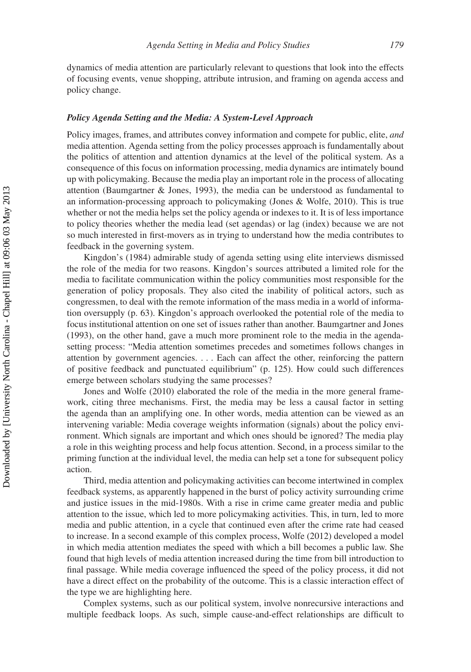dynamics of media attention are particularly relevant to questions that look into the effects of focusing events, venue shopping, attribute intrusion, and framing on agenda access and policy change.

#### *Policy Agenda Setting and the Media: A System-Level Approach*

Policy images, frames, and attributes convey information and compete for public, elite, *and* media attention. Agenda setting from the policy processes approach is fundamentally about the politics of attention and attention dynamics at the level of the political system. As a consequence of this focus on information processing, media dynamics are intimately bound up with policymaking. Because the media play an important role in the process of allocating attention (Baumgartner & Jones, 1993), the media can be understood as fundamental to an information-processing approach to policymaking (Jones & Wolfe, 2010). This is true whether or not the media helps set the policy agenda or indexes to it. It is of less importance to policy theories whether the media lead (set agendas) or lag (index) because we are not so much interested in first-movers as in trying to understand how the media contributes to feedback in the governing system.

Kingdon's (1984) admirable study of agenda setting using elite interviews dismissed the role of the media for two reasons. Kingdon's sources attributed a limited role for the media to facilitate communication within the policy communities most responsible for the generation of policy proposals. They also cited the inability of political actors, such as congressmen, to deal with the remote information of the mass media in a world of information oversupply (p. 63). Kingdon's approach overlooked the potential role of the media to focus institutional attention on one set of issues rather than another. Baumgartner and Jones (1993), on the other hand, gave a much more prominent role to the media in the agendasetting process: "Media attention sometimes precedes and sometimes follows changes in attention by government agencies. *...* Each can affect the other, reinforcing the pattern of positive feedback and punctuated equilibrium" (p. 125). How could such differences emerge between scholars studying the same processes?

Jones and Wolfe (2010) elaborated the role of the media in the more general framework, citing three mechanisms. First, the media may be less a causal factor in setting the agenda than an amplifying one. In other words, media attention can be viewed as an intervening variable: Media coverage weights information (signals) about the policy environment. Which signals are important and which ones should be ignored? The media play a role in this weighting process and help focus attention. Second, in a process similar to the priming function at the individual level, the media can help set a tone for subsequent policy action.

Third, media attention and policymaking activities can become intertwined in complex feedback systems, as apparently happened in the burst of policy activity surrounding crime and justice issues in the mid-1980s. With a rise in crime came greater media and public attention to the issue, which led to more policymaking activities. This, in turn, led to more media and public attention, in a cycle that continued even after the crime rate had ceased to increase. In a second example of this complex process, Wolfe (2012) developed a model in which media attention mediates the speed with which a bill becomes a public law. She found that high levels of media attention increased during the time from bill introduction to final passage. While media coverage influenced the speed of the policy process, it did not have a direct effect on the probability of the outcome. This is a classic interaction effect of the type we are highlighting here.

Complex systems, such as our political system, involve nonrecursive interactions and multiple feedback loops. As such, simple cause-and-effect relationships are difficult to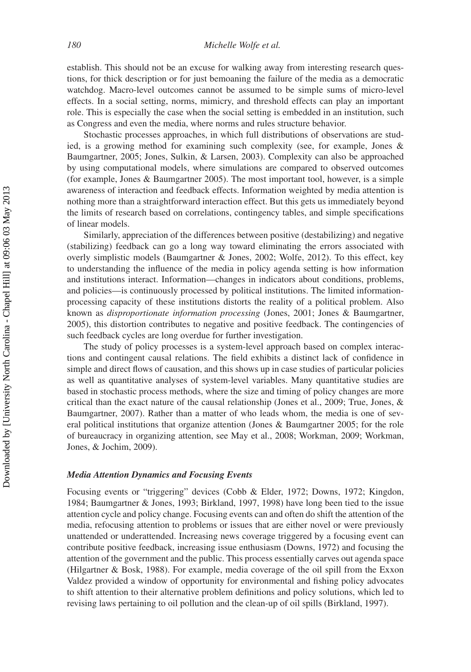establish. This should not be an excuse for walking away from interesting research questions, for thick description or for just bemoaning the failure of the media as a democratic watchdog. Macro-level outcomes cannot be assumed to be simple sums of micro-level effects. In a social setting, norms, mimicry, and threshold effects can play an important role. This is especially the case when the social setting is embedded in an institution, such as Congress and even the media, where norms and rules structure behavior.

Stochastic processes approaches, in which full distributions of observations are studied, is a growing method for examining such complexity (see, for example, Jones & Baumgartner, 2005; Jones, Sulkin, & Larsen, 2003). Complexity can also be approached by using computational models, where simulations are compared to observed outcomes (for example, Jones & Baumgartner 2005). The most important tool, however, is a simple awareness of interaction and feedback effects. Information weighted by media attention is nothing more than a straightforward interaction effect. But this gets us immediately beyond the limits of research based on correlations, contingency tables, and simple specifications of linear models.

Similarly, appreciation of the differences between positive (destabilizing) and negative (stabilizing) feedback can go a long way toward eliminating the errors associated with overly simplistic models (Baumgartner & Jones, 2002; Wolfe, 2012). To this effect, key to understanding the influence of the media in policy agenda setting is how information and institutions interact. Information—changes in indicators about conditions, problems, and policies—is continuously processed by political institutions. The limited informationprocessing capacity of these institutions distorts the reality of a political problem. Also known as *disproportionate information processing* (Jones, 2001; Jones & Baumgartner, 2005), this distortion contributes to negative and positive feedback. The contingencies of such feedback cycles are long overdue for further investigation.

The study of policy processes is a system-level approach based on complex interactions and contingent causal relations. The field exhibits a distinct lack of confidence in simple and direct flows of causation, and this shows up in case studies of particular policies as well as quantitative analyses of system-level variables. Many quantitative studies are based in stochastic process methods, where the size and timing of policy changes are more critical than the exact nature of the causal relationship (Jones et al., 2009; True, Jones, & Baumgartner, 2007). Rather than a matter of who leads whom, the media is one of several political institutions that organize attention (Jones & Baumgartner 2005; for the role of bureaucracy in organizing attention, see May et al., 2008; Workman, 2009; Workman, Jones, & Jochim, 2009).

#### *Media Attention Dynamics and Focusing Events*

Focusing events or "triggering" devices (Cobb & Elder, 1972; Downs, 1972; Kingdon, 1984; Baumgartner & Jones, 1993; Birkland, 1997, 1998) have long been tied to the issue attention cycle and policy change. Focusing events can and often do shift the attention of the media, refocusing attention to problems or issues that are either novel or were previously unattended or underattended. Increasing news coverage triggered by a focusing event can contribute positive feedback, increasing issue enthusiasm (Downs, 1972) and focusing the attention of the government and the public. This process essentially carves out agenda space (Hilgartner & Bosk, 1988). For example, media coverage of the oil spill from the Exxon Valdez provided a window of opportunity for environmental and fishing policy advocates to shift attention to their alternative problem definitions and policy solutions, which led to revising laws pertaining to oil pollution and the clean-up of oil spills (Birkland, 1997).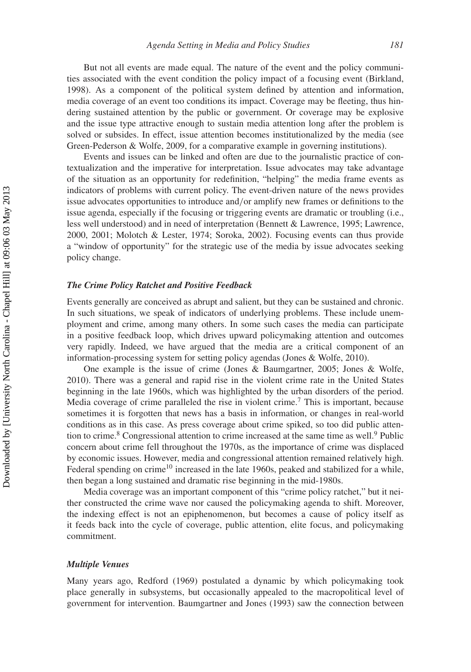But not all events are made equal. The nature of the event and the policy communities associated with the event condition the policy impact of a focusing event (Birkland, 1998). As a component of the political system defined by attention and information, media coverage of an event too conditions its impact. Coverage may be fleeting, thus hindering sustained attention by the public or government. Or coverage may be explosive and the issue type attractive enough to sustain media attention long after the problem is solved or subsides. In effect, issue attention becomes institutionalized by the media (see Green-Pederson & Wolfe, 2009, for a comparative example in governing institutions).

Events and issues can be linked and often are due to the journalistic practice of contextualization and the imperative for interpretation. Issue advocates may take advantage of the situation as an opportunity for redefinition, "helping" the media frame events as indicators of problems with current policy. The event-driven nature of the news provides issue advocates opportunities to introduce and*/*or amplify new frames or definitions to the issue agenda, especially if the focusing or triggering events are dramatic or troubling (i.e., less well understood) and in need of interpretation (Bennett & Lawrence, 1995; Lawrence, 2000, 2001; Molotch & Lester, 1974; Soroka, 2002). Focusing events can thus provide a "window of opportunity" for the strategic use of the media by issue advocates seeking policy change.

#### *The Crime Policy Ratchet and Positive Feedback*

Events generally are conceived as abrupt and salient, but they can be sustained and chronic. In such situations, we speak of indicators of underlying problems. These include unemployment and crime, among many others. In some such cases the media can participate in a positive feedback loop, which drives upward policymaking attention and outcomes very rapidly. Indeed, we have argued that the media are a critical component of an information-processing system for setting policy agendas (Jones & Wolfe, 2010).

One example is the issue of crime (Jones & Baumgartner, 2005; Jones & Wolfe, 2010). There was a general and rapid rise in the violent crime rate in the United States beginning in the late 1960s, which was highlighted by the urban disorders of the period. Media coverage of crime paralleled the rise in violent crime.<sup>7</sup> This is important, because sometimes it is forgotten that news has a basis in information, or changes in real-world conditions as in this case. As press coverage about crime spiked, so too did public attention to crime.<sup>8</sup> Congressional attention to crime increased at the same time as well.<sup>9</sup> Public concern about crime fell throughout the 1970s, as the importance of crime was displaced by economic issues. However, media and congressional attention remained relatively high. Federal spending on crime<sup>10</sup> increased in the late 1960s, peaked and stabilized for a while, then began a long sustained and dramatic rise beginning in the mid-1980s.

Media coverage was an important component of this "crime policy ratchet," but it neither constructed the crime wave nor caused the policymaking agenda to shift. Moreover, the indexing effect is not an epiphenomenon, but becomes a cause of policy itself as it feeds back into the cycle of coverage, public attention, elite focus, and policymaking commitment.

#### *Multiple Venues*

Many years ago, Redford (1969) postulated a dynamic by which policymaking took place generally in subsystems, but occasionally appealed to the macropolitical level of government for intervention. Baumgartner and Jones (1993) saw the connection between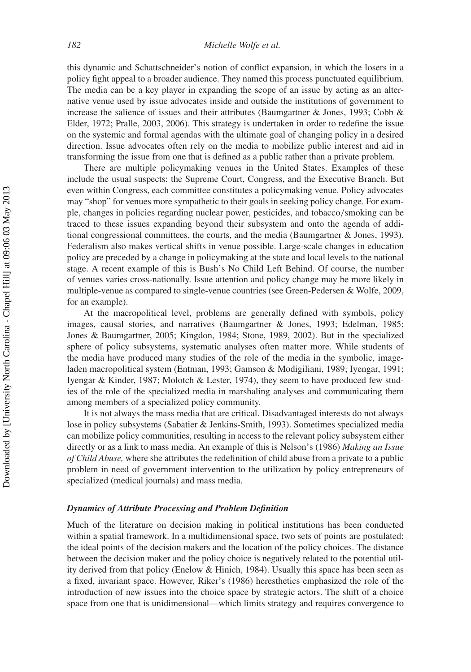this dynamic and Schattschneider's notion of conflict expansion, in which the losers in a policy fight appeal to a broader audience. They named this process punctuated equilibrium. The media can be a key player in expanding the scope of an issue by acting as an alternative venue used by issue advocates inside and outside the institutions of government to increase the salience of issues and their attributes (Baumgartner  $\&$  Jones, 1993; Cobb  $\&$ Elder, 1972; Pralle, 2003, 2006). This strategy is undertaken in order to redefine the issue on the systemic and formal agendas with the ultimate goal of changing policy in a desired direction. Issue advocates often rely on the media to mobilize public interest and aid in transforming the issue from one that is defined as a public rather than a private problem.

There are multiple policymaking venues in the United States. Examples of these include the usual suspects: the Supreme Court, Congress, and the Executive Branch. But even within Congress, each committee constitutes a policymaking venue. Policy advocates may "shop" for venues more sympathetic to their goals in seeking policy change. For example, changes in policies regarding nuclear power, pesticides, and tobacco*/*smoking can be traced to these issues expanding beyond their subsystem and onto the agenda of additional congressional committees, the courts, and the media (Baumgartner  $\&$  Jones, 1993). Federalism also makes vertical shifts in venue possible. Large-scale changes in education policy are preceded by a change in policymaking at the state and local levels to the national stage. A recent example of this is Bush's No Child Left Behind. Of course, the number of venues varies cross-nationally. Issue attention and policy change may be more likely in multiple-venue as compared to single-venue countries (see Green-Pedersen & Wolfe, 2009, for an example).

At the macropolitical level, problems are generally defined with symbols, policy images, causal stories, and narratives (Baumgartner & Jones, 1993; Edelman, 1985; Jones & Baumgartner, 2005; Kingdon, 1984; Stone, 1989, 2002). But in the specialized sphere of policy subsystems, systematic analyses often matter more. While students of the media have produced many studies of the role of the media in the symbolic, imageladen macropolitical system (Entman, 1993; Gamson & Modigiliani, 1989; Iyengar, 1991; Iyengar & Kinder, 1987; Molotch & Lester, 1974), they seem to have produced few studies of the role of the specialized media in marshaling analyses and communicating them among members of a specialized policy community.

It is not always the mass media that are critical. Disadvantaged interests do not always lose in policy subsystems (Sabatier & Jenkins-Smith, 1993). Sometimes specialized media can mobilize policy communities, resulting in access to the relevant policy subsystem either directly or as a link to mass media. An example of this is Nelson's (1986) *Making an Issue of Child Abuse,* where she attributes the redefinition of child abuse from a private to a public problem in need of government intervention to the utilization by policy entrepreneurs of specialized (medical journals) and mass media.

#### *Dynamics of Attribute Processing and Problem Definition*

Much of the literature on decision making in political institutions has been conducted within a spatial framework. In a multidimensional space, two sets of points are postulated: the ideal points of the decision makers and the location of the policy choices. The distance between the decision maker and the policy choice is negatively related to the potential utility derived from that policy (Enelow & Hinich, 1984). Usually this space has been seen as a fixed, invariant space. However, Riker's (1986) heresthetics emphasized the role of the introduction of new issues into the choice space by strategic actors. The shift of a choice space from one that is unidimensional—which limits strategy and requires convergence to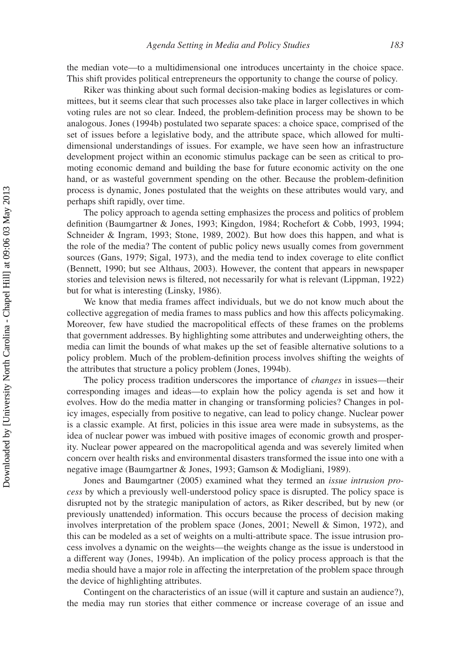the median vote—to a multidimensional one introduces uncertainty in the choice space. This shift provides political entrepreneurs the opportunity to change the course of policy.

Riker was thinking about such formal decision-making bodies as legislatures or committees, but it seems clear that such processes also take place in larger collectives in which voting rules are not so clear. Indeed, the problem-definition process may be shown to be analogous. Jones (1994b) postulated two separate spaces: a choice space, comprised of the set of issues before a legislative body, and the attribute space, which allowed for multidimensional understandings of issues. For example, we have seen how an infrastructure development project within an economic stimulus package can be seen as critical to promoting economic demand and building the base for future economic activity on the one hand, or as wasteful government spending on the other. Because the problem-definition process is dynamic, Jones postulated that the weights on these attributes would vary, and perhaps shift rapidly, over time.

The policy approach to agenda setting emphasizes the process and politics of problem definition (Baumgartner & Jones, 1993; Kingdon, 1984; Rochefort & Cobb, 1993, 1994; Schneider & Ingram, 1993; Stone, 1989, 2002). But how does this happen, and what is the role of the media? The content of public policy news usually comes from government sources (Gans, 1979; Sigal, 1973), and the media tend to index coverage to elite conflict (Bennett, 1990; but see Althaus, 2003). However, the content that appears in newspaper stories and television news is filtered, not necessarily for what is relevant (Lippman, 1922) but for what is interesting (Linsky, 1986).

We know that media frames affect individuals, but we do not know much about the collective aggregation of media frames to mass publics and how this affects policymaking. Moreover, few have studied the macropolitical effects of these frames on the problems that government addresses. By highlighting some attributes and underweighting others, the media can limit the bounds of what makes up the set of feasible alternative solutions to a policy problem. Much of the problem-definition process involves shifting the weights of the attributes that structure a policy problem (Jones, 1994b).

The policy process tradition underscores the importance of *changes* in issues—their corresponding images and ideas—to explain how the policy agenda is set and how it evolves. How do the media matter in changing or transforming policies? Changes in policy images, especially from positive to negative, can lead to policy change. Nuclear power is a classic example. At first, policies in this issue area were made in subsystems, as the idea of nuclear power was imbued with positive images of economic growth and prosperity. Nuclear power appeared on the macropolitical agenda and was severely limited when concern over health risks and environmental disasters transformed the issue into one with a negative image (Baumgartner & Jones, 1993; Gamson & Modigliani, 1989).

Jones and Baumgartner (2005) examined what they termed an *issue intrusion process* by which a previously well-understood policy space is disrupted. The policy space is disrupted not by the strategic manipulation of actors, as Riker described, but by new (or previously unattended) information. This occurs because the process of decision making involves interpretation of the problem space (Jones, 2001; Newell & Simon, 1972), and this can be modeled as a set of weights on a multi-attribute space. The issue intrusion process involves a dynamic on the weights—the weights change as the issue is understood in a different way (Jones, 1994b). An implication of the policy process approach is that the media should have a major role in affecting the interpretation of the problem space through the device of highlighting attributes.

Contingent on the characteristics of an issue (will it capture and sustain an audience?), the media may run stories that either commence or increase coverage of an issue and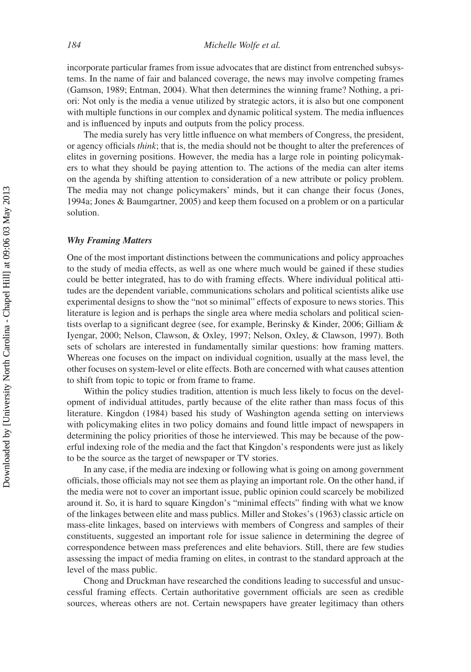incorporate particular frames from issue advocates that are distinct from entrenched subsystems. In the name of fair and balanced coverage, the news may involve competing frames (Gamson, 1989; Entman, 2004). What then determines the winning frame? Nothing, a priori: Not only is the media a venue utilized by strategic actors, it is also but one component with multiple functions in our complex and dynamic political system. The media influences and is influenced by inputs and outputs from the policy process.

The media surely has very little influence on what members of Congress, the president, or agency officials *think*; that is, the media should not be thought to alter the preferences of elites in governing positions. However, the media has a large role in pointing policymakers to what they should be paying attention to. The actions of the media can alter items on the agenda by shifting attention to consideration of a new attribute or policy problem. The media may not change policymakers' minds, but it can change their focus (Jones, 1994a; Jones & Baumgartner, 2005) and keep them focused on a problem or on a particular solution.

#### *Why Framing Matters*

One of the most important distinctions between the communications and policy approaches to the study of media effects, as well as one where much would be gained if these studies could be better integrated, has to do with framing effects. Where individual political attitudes are the dependent variable, communications scholars and political scientists alike use experimental designs to show the "not so minimal" effects of exposure to news stories. This literature is legion and is perhaps the single area where media scholars and political scientists overlap to a significant degree (see, for example, Berinsky & Kinder, 2006; Gilliam & Iyengar, 2000; Nelson, Clawson, & Oxley, 1997; Nelson, Oxley, & Clawson, 1997). Both sets of scholars are interested in fundamentally similar questions: how framing matters. Whereas one focuses on the impact on individual cognition, usually at the mass level, the other focuses on system-level or elite effects. Both are concerned with what causes attention to shift from topic to topic or from frame to frame.

Within the policy studies tradition, attention is much less likely to focus on the development of individual attitudes, partly because of the elite rather than mass focus of this literature. Kingdon (1984) based his study of Washington agenda setting on interviews with policymaking elites in two policy domains and found little impact of newspapers in determining the policy priorities of those he interviewed. This may be because of the powerful indexing role of the media and the fact that Kingdon's respondents were just as likely to be the source as the target of newspaper or TV stories.

In any case, if the media are indexing or following what is going on among government officials, those officials may not see them as playing an important role. On the other hand, if the media were not to cover an important issue, public opinion could scarcely be mobilized around it. So, it is hard to square Kingdon's "minimal effects" finding with what we know of the linkages between elite and mass publics. Miller and Stokes's (1963) classic article on mass-elite linkages, based on interviews with members of Congress and samples of their constituents, suggested an important role for issue salience in determining the degree of correspondence between mass preferences and elite behaviors. Still, there are few studies assessing the impact of media framing on elites, in contrast to the standard approach at the level of the mass public.

Chong and Druckman have researched the conditions leading to successful and unsuccessful framing effects. Certain authoritative government officials are seen as credible sources, whereas others are not. Certain newspapers have greater legitimacy than others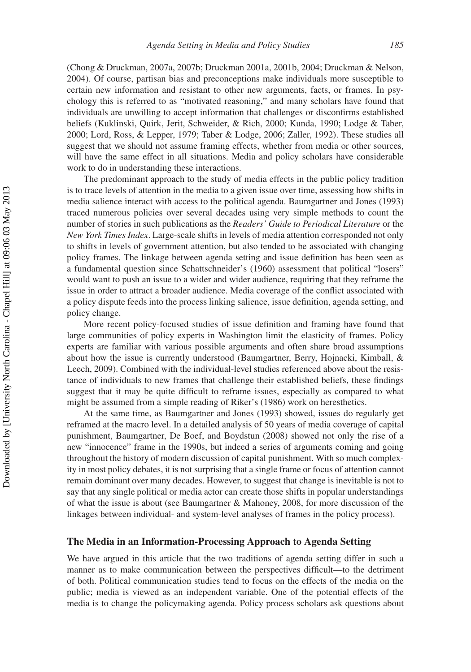(Chong & Druckman, 2007a, 2007b; Druckman 2001a, 2001b, 2004; Druckman & Nelson, 2004). Of course, partisan bias and preconceptions make individuals more susceptible to certain new information and resistant to other new arguments, facts, or frames. In psychology this is referred to as "motivated reasoning," and many scholars have found that individuals are unwilling to accept information that challenges or disconfirms established beliefs (Kuklinski, Quirk, Jerit, Schweider, & Rich, 2000; Kunda, 1990; Lodge & Taber, 2000; Lord, Ross, & Lepper, 1979; Taber & Lodge, 2006; Zaller, 1992). These studies all suggest that we should not assume framing effects, whether from media or other sources, will have the same effect in all situations. Media and policy scholars have considerable work to do in understanding these interactions.

The predominant approach to the study of media effects in the public policy tradition is to trace levels of attention in the media to a given issue over time, assessing how shifts in media salience interact with access to the political agenda. Baumgartner and Jones (1993) traced numerous policies over several decades using very simple methods to count the number of stories in such publications as the *Readers' Guide to Periodical Literature* or the *New York Times Index*. Large-scale shifts in levels of media attention corresponded not only to shifts in levels of government attention, but also tended to be associated with changing policy frames. The linkage between agenda setting and issue definition has been seen as a fundamental question since Schattschneider's (1960) assessment that political "losers" would want to push an issue to a wider and wider audience, requiring that they reframe the issue in order to attract a broader audience. Media coverage of the conflict associated with a policy dispute feeds into the process linking salience, issue definition, agenda setting, and policy change.

More recent policy-focused studies of issue definition and framing have found that large communities of policy experts in Washington limit the elasticity of frames. Policy experts are familiar with various possible arguments and often share broad assumptions about how the issue is currently understood (Baumgartner, Berry, Hojnacki, Kimball, & Leech, 2009). Combined with the individual-level studies referenced above about the resistance of individuals to new frames that challenge their established beliefs, these findings suggest that it may be quite difficult to reframe issues, especially as compared to what might be assumed from a simple reading of Riker's (1986) work on heresthetics.

At the same time, as Baumgartner and Jones (1993) showed, issues do regularly get reframed at the macro level. In a detailed analysis of 50 years of media coverage of capital punishment, Baumgartner, De Boef, and Boydstun (2008) showed not only the rise of a new "innocence" frame in the 1990s, but indeed a series of arguments coming and going throughout the history of modern discussion of capital punishment. With so much complexity in most policy debates, it is not surprising that a single frame or focus of attention cannot remain dominant over many decades. However, to suggest that change is inevitable is not to say that any single political or media actor can create those shifts in popular understandings of what the issue is about (see Baumgartner  $\&$  Mahoney, 2008, for more discussion of the linkages between individual- and system-level analyses of frames in the policy process).

#### **The Media in an Information-Processing Approach to Agenda Setting**

We have argued in this article that the two traditions of agenda setting differ in such a manner as to make communication between the perspectives difficult—to the detriment of both. Political communication studies tend to focus on the effects of the media on the public; media is viewed as an independent variable. One of the potential effects of the media is to change the policymaking agenda. Policy process scholars ask questions about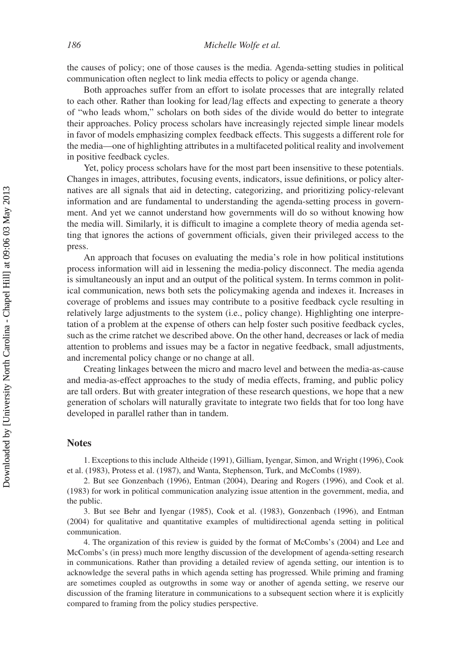the causes of policy; one of those causes is the media. Agenda-setting studies in political communication often neglect to link media effects to policy or agenda change.

Both approaches suffer from an effort to isolate processes that are integrally related to each other. Rather than looking for lead*/*lag effects and expecting to generate a theory of "who leads whom," scholars on both sides of the divide would do better to integrate their approaches. Policy process scholars have increasingly rejected simple linear models in favor of models emphasizing complex feedback effects. This suggests a different role for the media—one of highlighting attributes in a multifaceted political reality and involvement in positive feedback cycles.

Yet, policy process scholars have for the most part been insensitive to these potentials. Changes in images, attributes, focusing events, indicators, issue definitions, or policy alternatives are all signals that aid in detecting, categorizing, and prioritizing policy-relevant information and are fundamental to understanding the agenda-setting process in government. And yet we cannot understand how governments will do so without knowing how the media will. Similarly, it is difficult to imagine a complete theory of media agenda setting that ignores the actions of government officials, given their privileged access to the press.

An approach that focuses on evaluating the media's role in how political institutions process information will aid in lessening the media-policy disconnect. The media agenda is simultaneously an input and an output of the political system. In terms common in political communication, news both sets the policymaking agenda and indexes it. Increases in coverage of problems and issues may contribute to a positive feedback cycle resulting in relatively large adjustments to the system (i.e., policy change). Highlighting one interpretation of a problem at the expense of others can help foster such positive feedback cycles, such as the crime ratchet we described above. On the other hand, decreases or lack of media attention to problems and issues may be a factor in negative feedback, small adjustments, and incremental policy change or no change at all.

Creating linkages between the micro and macro level and between the media-as-cause and media-as-effect approaches to the study of media effects, framing, and public policy are tall orders. But with greater integration of these research questions, we hope that a new generation of scholars will naturally gravitate to integrate two fields that for too long have developed in parallel rather than in tandem.

#### **Notes**

1. Exceptions to this include Altheide (1991), Gilliam, Iyengar, Simon, and Wright (1996), Cook et al. (1983), Protess et al. (1987), and Wanta, Stephenson, Turk, and McCombs (1989).

2. But see Gonzenbach (1996), Entman (2004), Dearing and Rogers (1996), and Cook et al. (1983) for work in political communication analyzing issue attention in the government, media, and the public.

3. But see Behr and Iyengar (1985), Cook et al. (1983), Gonzenbach (1996), and Entman (2004) for qualitative and quantitative examples of multidirectional agenda setting in political communication.

4. The organization of this review is guided by the format of McCombs's (2004) and Lee and McCombs's (in press) much more lengthy discussion of the development of agenda-setting research in communications. Rather than providing a detailed review of agenda setting, our intention is to acknowledge the several paths in which agenda setting has progressed. While priming and framing are sometimes coupled as outgrowths in some way or another of agenda setting, we reserve our discussion of the framing literature in communications to a subsequent section where it is explicitly compared to framing from the policy studies perspective.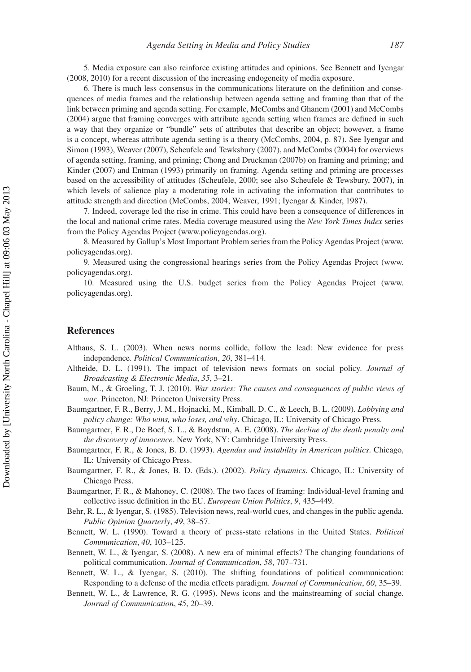5. Media exposure can also reinforce existing attitudes and opinions. See Bennett and Iyengar (2008, 2010) for a recent discussion of the increasing endogeneity of media exposure.

6. There is much less consensus in the communications literature on the definition and consequences of media frames and the relationship between agenda setting and framing than that of the link between priming and agenda setting. For example, McCombs and Ghanem (2001) and McCombs (2004) argue that framing converges with attribute agenda setting when frames are defined in such a way that they organize or "bundle" sets of attributes that describe an object; however, a frame is a concept, whereas attribute agenda setting is a theory (McCombs, 2004, p. 87). See Iyengar and Simon (1993), Weaver (2007), Scheufele and Tewksbury (2007), and McCombs (2004) for overviews of agenda setting, framing, and priming; Chong and Druckman (2007b) on framing and priming; and Kinder (2007) and Entman (1993) primarily on framing. Agenda setting and priming are processes based on the accessibility of attitudes (Scheufele, 2000; see also Scheufele & Tewsbury, 2007), in which levels of salience play a moderating role in activating the information that contributes to attitude strength and direction (McCombs, 2004; Weaver, 1991; Iyengar & Kinder, 1987).

7. Indeed, coverage led the rise in crime. This could have been a consequence of differences in the local and national crime rates. Media coverage measured using the *New York Times Index* series from the Policy Agendas Project (www.policyagendas.org).

8. Measured by Gallup's Most Important Problem series from the Policy Agendas Project (www. policyagendas.org).

9. Measured using the congressional hearings series from the Policy Agendas Project (www. policyagendas.org).

10. Measured using the U.S. budget series from the Policy Agendas Project (www. policyagendas.org).

#### **References**

- Althaus, S. L. (2003). When news norms collide, follow the lead: New evidence for press independence. *Political Communication*, *20*, 381–414.
- Altheide, D. L. (1991). The impact of television news formats on social policy. *Journal of Broadcasting & Electronic Media*, *35*, 3–21.
- Baum, M., & Groeling, T. J. (2010). *War stories: The causes and consequences of public views of war*. Princeton, NJ: Princeton University Press.
- Baumgartner, F. R., Berry, J. M., Hojnacki, M., Kimball, D. C., & Leech, B. L. (2009). *Lobbying and policy change: Who wins, who loses, and why*. Chicago, IL: University of Chicago Press.
- Baumgartner, F. R., De Boef, S. L., & Boydstun, A. E. (2008). *The decline of the death penalty and the discovery of innocence*. New York, NY: Cambridge University Press.
- Baumgartner, F. R., & Jones, B. D. (1993). *Agendas and instability in American politics*. Chicago, IL: University of Chicago Press.
- Baumgartner, F. R., & Jones, B. D. (Eds.). (2002). *Policy dynamics*. Chicago, IL: University of Chicago Press.
- Baumgartner, F. R., & Mahoney, C. (2008). The two faces of framing: Individual-level framing and collective issue definition in the EU. *European Union Politics*, *9*, 435–449.
- Behr, R. L., & Iyengar, S. (1985). Television news, real-world cues, and changes in the public agenda. *Public Opinion Quarterly*, *49*, 38–57.
- Bennett, W. L. (1990). Toward a theory of press-state relations in the United States. *Political Communication*, *40*, 103–125.
- Bennett, W. L., & Iyengar, S. (2008). A new era of minimal effects? The changing foundations of political communication. *Journal of Communication*, *58*, 707–731.
- Bennett, W. L., & Iyengar, S. (2010). The shifting foundations of political communication: Responding to a defense of the media effects paradigm. *Journal of Communication*, *60*, 35–39.
- Bennett, W. L., & Lawrence, R. G. (1995). News icons and the mainstreaming of social change. *Journal of Communication*, *45*, 20–39.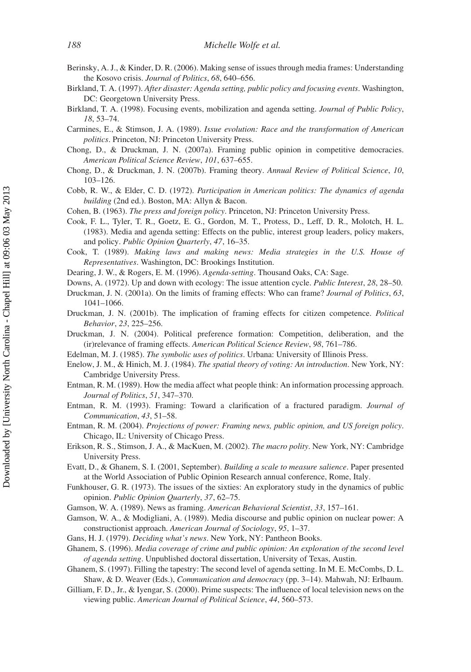- Berinsky, A. J., & Kinder, D. R. (2006). Making sense of issues through media frames: Understanding the Kosovo crisis. *Journal of Politics*, *68*, 640–656.
- Birkland, T. A. (1997). *After disaster: Agenda setting, public policy and focusing events*. Washington, DC: Georgetown University Press.
- Birkland, T. A. (1998). Focusing events, mobilization and agenda setting. *Journal of Public Policy*, *18*, 53–74.
- Carmines, E., & Stimson, J. A. (1989). *Issue evolution: Race and the transformation of American politics*. Princeton, NJ: Princeton University Press.
- Chong, D., & Druckman, J. N. (2007a). Framing public opinion in competitive democracies. *American Political Science Review*, *101*, 637–655.
- Chong, D., & Druckman, J. N. (2007b). Framing theory. *Annual Review of Political Science*, *10*, 103–126.
- Cobb, R. W., & Elder, C. D. (1972). *Participation in American politics: The dynamics of agenda building* (2nd ed.). Boston, MA: Allyn & Bacon.
- Cohen, B. (1963). *The press and foreign policy*. Princeton, NJ: Princeton University Press.
- Cook, F. L., Tyler, T. R., Goetz, E. G., Gordon, M. T., Protess, D., Leff, D. R., Molotch, H. L. (1983). Media and agenda setting: Effects on the public, interest group leaders, policy makers, and policy. *Public Opinion Quarterly*, *47*, 16–35.
- Cook, T. (1989). *Making laws and making news: Media strategies in the U.S. House of Representatives*. Washington, DC: Brookings Institution.
- Dearing, J. W., & Rogers, E. M. (1996). *Agenda-setting*. Thousand Oaks, CA: Sage.
- Downs, A. (1972). Up and down with ecology: The issue attention cycle. *Public Interest*, *28*, 28–50.
- Druckman, J. N. (2001a). On the limits of framing effects: Who can frame? *Journal of Politics*, *63*, 1041–1066.
- Druckman, J. N. (2001b). The implication of framing effects for citizen competence. *Political Behavior*, *23*, 225–256.
- Druckman, J. N. (2004). Political preference formation: Competition, deliberation, and the (ir)relevance of framing effects. *American Political Science Review*, *98*, 761–786.
- Edelman, M. J. (1985). *The symbolic uses of politics*. Urbana: University of Illinois Press.
- Enelow, J. M., & Hinich, M. J. (1984). *The spatial theory of voting: An introduction*. New York, NY: Cambridge University Press.
- Entman, R. M. (1989). How the media affect what people think: An information processing approach. *Journal of Politics*, *51*, 347–370.
- Entman, R. M. (1993). Framing: Toward a clarification of a fractured paradigm. *Journal of Communication*, *43*, 51–58.
- Entman, R. M. (2004). *Projections of power: Framing news, public opinion, and US foreign policy*. Chicago, IL: University of Chicago Press.
- Erikson, R. S., Stimson, J. A., & MacKuen, M. (2002). *The macro polity*. New York, NY: Cambridge University Press.
- Evatt, D., & Ghanem, S. I. (2001, September). *Building a scale to measure salience*. Paper presented at the World Association of Public Opinion Research annual conference, Rome, Italy.
- Funkhouser, G. R. (1973). The issues of the sixties: An exploratory study in the dynamics of public opinion. *Public Opinion Quarterly*, *37*, 62–75.
- Gamson, W. A. (1989). News as framing. *American Behavioral Scientist*, *33*, 157–161.
- Gamson, W. A., & Modigliani, A. (1989). Media discourse and public opinion on nuclear power: A constructionist approach. *American Journal of Sociology*, *95*, 1–37.
- Gans, H. J. (1979). *Deciding what's news*. New York, NY: Pantheon Books.
- Ghanem, S. (1996). *Media coverage of crime and public opinion: An exploration of the second level of agenda setting*. Unpublished doctoral dissertation, University of Texas, Austin.
- Ghanem, S. (1997). Filling the tapestry: The second level of agenda setting. In M. E. McCombs, D. L. Shaw, & D. Weaver (Eds.), *Communication and democracy* (pp. 3–14). Mahwah, NJ: Erlbaum.
- Gilliam, F. D., Jr., & Iyengar, S. (2000). Prime suspects: The influence of local television news on the viewing public. *American Journal of Political Science*, *44*, 560–573.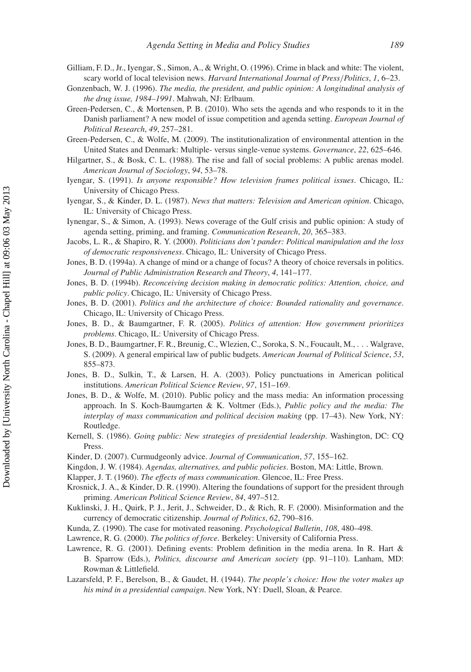- Gilliam, F. D., Jr., Iyengar, S., Simon, A., & Wright, O. (1996). Crime in black and white: The violent, scary world of local television news. *Harvard International Journal of Press/Politics*, *1*, 6–23.
- Gonzenbach, W. J. (1996). *The media, the president, and public opinion: A longitudinal analysis of the drug issue, 1984–1991*. Mahwah, NJ: Erlbaum.
- Green-Pedersen, C., & Mortensen, P. B. (2010). Who sets the agenda and who responds to it in the Danish parliament? A new model of issue competition and agenda setting. *European Journal of Political Research*, *49*, 257–281.
- Green-Pedersen, C., & Wolfe, M. (2009). The institutionalization of environmental attention in the United States and Denmark: Multiple- versus single-venue systems. *Governance*, *22*, 625–646.
- Hilgartner, S., & Bosk, C. L. (1988). The rise and fall of social problems: A public arenas model. *American Journal of Sociology*, *94*, 53–78.
- Iyengar, S. (1991). *Is anyone responsible? How television frames political issues*. Chicago, IL: University of Chicago Press.
- Iyengar, S., & Kinder, D. L. (1987). *News that matters: Television and American opinion*. Chicago, IL: University of Chicago Press.
- Iynengar, S., & Simon, A. (1993). News coverage of the Gulf crisis and public opinion: A study of agenda setting, priming, and framing. *Communication Research*, *20*, 365–383.
- Jacobs, L. R., & Shapiro, R. Y. (2000). *Politicians don't pander: Political manipulation and the loss of democratic responsiveness*. Chicago, IL: University of Chicago Press.
- Jones, B. D. (1994a). A change of mind or a change of focus? A theory of choice reversals in politics. *Journal of Public Administration Research and Theory*, *4*, 141–177.
- Jones, B. D. (1994b). *Reconceiving decision making in democratic politics: Attention, choice, and public policy*. Chicago, IL: University of Chicago Press.
- Jones, B. D. (2001). *Politics and the architecture of choice: Bounded rationality and governance*. Chicago, IL: University of Chicago Press.
- Jones, B. D., & Baumgartner, F. R. (2005). *Politics of attention: How government prioritizes problems*. Chicago, IL: University of Chicago Press.
- Jones, B. D., Baumgartner, F. R., Breunig, C., Wlezien, C., Soroka, S. N., Foucault, M., *...* Walgrave, S. (2009). A general empirical law of public budgets. *American Journal of Political Science*, *53*, 855–873.
- Jones, B. D., Sulkin, T., & Larsen, H. A. (2003). Policy punctuations in American political institutions. *American Political Science Review*, *97*, 151–169.
- Jones, B. D., & Wolfe, M. (2010). Public policy and the mass media: An information processing approach. In S. Koch-Baumgarten & K. Voltmer (Eds.), *Public policy and the media: The interplay of mass communication and political decision making* (pp. 17–43). New York, NY: Routledge.
- Kernell, S. (1986). *Going public: New strategies of presidential leadership*. Washington, DC: CQ Press.
- Kinder, D. (2007). Curmudgeonly advice. *Journal of Communication*, *57*, 155–162.
- Kingdon, J. W. (1984). *Agendas, alternatives, and public policies*. Boston, MA: Little, Brown.
- Klapper, J. T. (1960). *The effects of mass communication*. Glencoe, IL: Free Press.
- Krosnick, J. A., & Kinder, D. R. (1990). Altering the foundations of support for the president through priming. *American Political Science Review*, *84*, 497–512.
- Kuklinski, J. H., Quirk, P. J., Jerit, J., Schweider, D., & Rich, R. F. (2000). Misinformation and the currency of democratic citizenship. *Journal of Politics*, *62*, 790–816.
- Kunda, Z. (1990). The case for motivated reasoning. *Psychological Bulletin*, *108*, 480–498.
- Lawrence, R. G. (2000). *The politics of force*. Berkeley: University of California Press.
- Lawrence, R. G. (2001). Defining events: Problem definition in the media arena. In R. Hart & B. Sparrow (Eds.), *Politics, discourse and American society* (pp. 91–110). Lanham, MD: Rowman & Littlefield.
- Lazarsfeld, P. F., Berelson, B., & Gaudet, H. (1944). *The people's choice: How the voter makes up his mind in a presidential campaign*. New York, NY: Duell, Sloan, & Pearce.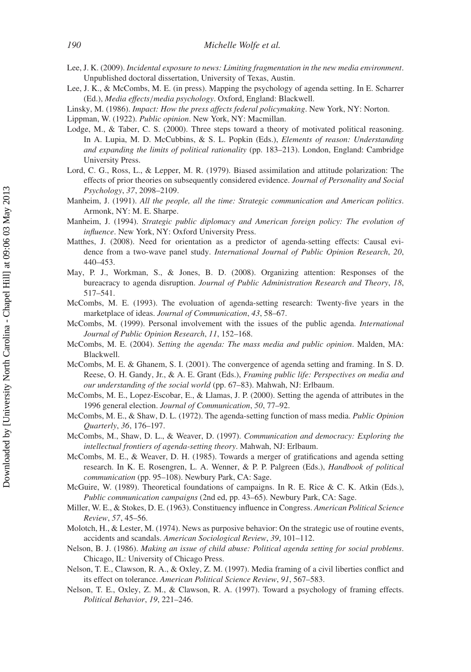- Lee, J. K. (2009). *Incidental exposure to news: Limiting fragmentation in the new media environment*. Unpublished doctoral dissertation, University of Texas, Austin.
- Lee, J. K., & McCombs, M. E. (in press). Mapping the psychology of agenda setting. In E. Scharrer (Ed.), *Media effects/media psychology*. Oxford, England: Blackwell.

Linsky, M. (1986). *Impact: How the press affects federal policymaking*. New York, NY: Norton.

- Lodge, M., & Taber, C. S. (2000). Three steps toward a theory of motivated political reasoning. In A. Lupia, M. D. McCubbins, & S. L. Popkin (Eds.), *Elements of reason: Understanding and expanding the limits of political rationality* (pp. 183–213). London, England: Cambridge University Press.
- Lord, C. G., Ross, L., & Lepper, M. R. (1979). Biased assimilation and attitude polarization: The effects of prior theories on subsequently considered evidence. *Journal of Personality and Social Psychology*, *37*, 2098–2109.
- Manheim, J. (1991). *All the people, all the time: Strategic communication and American politics*. Armonk, NY: M. E. Sharpe.
- Manheim, J. (1994). *Strategic public diplomacy and American foreign policy: The evolution of influence*. New York, NY: Oxford University Press.
- Matthes, J. (2008). Need for orientation as a predictor of agenda-setting effects: Causal evidence from a two-wave panel study. *International Journal of Public Opinion Research*, *20*, 440–453.
- May, P. J., Workman, S., & Jones, B. D. (2008). Organizing attention: Responses of the bureacracy to agenda disruption. *Journal of Public Administration Research and Theory*, *18*, 517–541.
- McCombs, M. E. (1993). The evoluation of agenda-setting research: Twenty-five years in the marketplace of ideas. *Journal of Communication*, *43*, 58–67.
- McCombs, M. (1999). Personal involvement with the issues of the public agenda. *International Journal of Public Opinion Research*, *11*, 152–168.
- McCombs, M. E. (2004). *Setting the agenda: The mass media and public opinion*. Malden, MA: Blackwell.
- McCombs, M. E. & Ghanem, S. I. (2001). The convergence of agenda setting and framing. In S. D. Reese, O. H. Gandy, Jr., & A. E. Grant (Eds.), *Framing public life: Perspectives on media and our understanding of the social world* (pp. 67–83). Mahwah, NJ: Erlbaum.
- McCombs, M. E., Lopez-Escobar, E., & Llamas, J. P. (2000). Setting the agenda of attributes in the 1996 general election. *Journal of Communication*, *50*, 77–92.
- McCombs, M. E., & Shaw, D. L. (1972). The agenda-setting function of mass media. *Public Opinion Quarterly*, *36*, 176–197.
- McCombs, M., Shaw, D. L., & Weaver, D. (1997). *Communication and democracy: Exploring the intellectual frontiers of agenda-setting theory*. Mahwah, NJ: Erlbaum.
- McCombs, M. E., & Weaver, D. H. (1985). Towards a merger of gratifications and agenda setting research. In K. E. Rosengren, L. A. Wenner, & P. P. Palgreen (Eds.), *Handbook of political communication* (pp. 95–108). Newbury Park, CA: Sage.
- McGuire, W. (1989). Theoretical foundations of campaigns. In R. E. Rice & C. K. Atkin (Eds.), *Public communication campaigns* (2nd ed, pp. 43–65). Newbury Park, CA: Sage.
- Miller, W. E., & Stokes, D. E. (1963). Constituency influence in Congress. *American Political Science Review*, *57*, 45–56.
- Molotch, H., & Lester, M. (1974). News as purposive behavior: On the strategic use of routine events, accidents and scandals. *American Sociological Review*, *39*, 101–112.
- Nelson, B. J. (1986). *Making an issue of child abuse: Political agenda setting for social problems*. Chicago, IL: University of Chicago Press.
- Nelson, T. E., Clawson, R. A., & Oxley, Z. M. (1997). Media framing of a civil liberties conflict and its effect on tolerance. *American Political Science Review*, *91*, 567–583.
- Nelson, T. E., Oxley, Z. M., & Clawson, R. A. (1997). Toward a psychology of framing effects. *Political Behavior*, *19*, 221–246.

Lippman, W. (1922). *Public opinion*. New York, NY: Macmillan.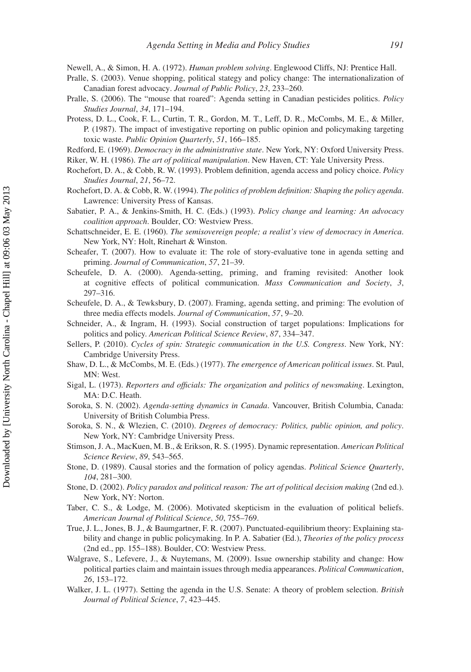Newell, A., & Simon, H. A. (1972). *Human problem solving*. Englewood Cliffs, NJ: Prentice Hall.

- Pralle, S. (2003). Venue shopping, political stategy and policy change: The internationalization of Canadian forest advocacy. *Journal of Public Policy*, *23*, 233–260.
- Pralle, S. (2006). The "mouse that roared": Agenda setting in Canadian pesticides politics. *Policy Studies Journal*, *34*, 171–194.
- Protess, D. L., Cook, F. L., Curtin, T. R., Gordon, M. T., Leff, D. R., McCombs, M. E., & Miller, P. (1987). The impact of investigative reporting on public opinion and policymaking targeting toxic waste. *Public Opinion Quarterly*, *51*, 166–185.

Redford, E. (1969). *Democracy in the administrative state*. New York, NY: Oxford University Press.

- Riker, W. H. (1986). *The art of political manipulation*. New Haven, CT: Yale University Press.
- Rochefort, D. A., & Cobb, R. W. (1993). Problem definition, agenda access and policy choice. *Policy Studies Journal*, *21*, 56–72.
- Rochefort, D. A. & Cobb, R. W. (1994). *The politics of problem definition: Shaping the policy agenda*. Lawrence: University Press of Kansas.
- Sabatier, P. A., & Jenkins-Smith, H. C. (Eds.) (1993). *Policy change and learning: An advocacy coalition approach*. Boulder, CO: Westview Press.
- Schattschneider, E. E. (1960). *The semisovereign people; a realist's view of democracy in America*. New York, NY: Holt, Rinehart & Winston.
- Scheafer, T. (2007). How to evaluate it: The role of story-evaluative tone in agenda setting and priming. *Journal of Communication*, *57*, 21–39.
- Scheufele, D. A. (2000). Agenda-setting, priming, and framing revisited: Another look at cognitive effects of political communication. *Mass Communication and Society*, *3*, 297–316.
- Scheufele, D. A., & Tewksbury, D. (2007). Framing, agenda setting, and priming: The evolution of three media effects models. *Journal of Communication*, *57*, 9–20.
- Schneider, A., & Ingram, H. (1993). Social construction of target populations: Implications for politics and policy. *American Political Science Review*, *87*, 334–347.
- Sellers, P. (2010). *Cycles of spin: Strategic communication in the U.S. Congress*. New York, NY: Cambridge University Press.
- Shaw, D. L., & McCombs, M. E. (Eds.) (1977). *The emergence of American political issues*. St. Paul, MN: West.
- Sigal, L. (1973). *Reporters and officials: The organization and politics of newsmaking*. Lexington, MA: D.C. Heath.
- Soroka, S. N. (2002). *Agenda-setting dynamics in Canada*. Vancouver, British Columbia, Canada: University of British Columbia Press.
- Soroka, S. N., & Wlezien, C. (2010). *Degrees of democracy: Politics, public opinion, and policy*. New York, NY: Cambridge University Press.
- Stimson, J. A., MacKuen, M. B., & Erikson, R. S. (1995). Dynamic representation. *American Political Science Review*, *89*, 543–565.
- Stone, D. (1989). Causal stories and the formation of policy agendas. *Political Science Quarterly*, *104*, 281–300.
- Stone, D. (2002). *Policy paradox and political reason: The art of political decision making* (2nd ed.). New York, NY: Norton.
- Taber, C. S., & Lodge, M. (2006). Motivated skepticism in the evaluation of political beliefs. *American Journal of Political Science*, *50*, 755–769.
- True, J. L., Jones, B. J., & Baumgartner, F. R. (2007). Punctuated-equilibrium theory: Explaining stability and change in public policymaking. In P. A. Sabatier (Ed.), *Theories of the policy process* (2nd ed., pp. 155–188). Boulder, CO: Westview Press.
- Walgrave, S., Lefevere, J., & Nuytemans, M. (2009). Issue ownership stability and change: How political parties claim and maintain issues through media appearances. *Political Communication*, *26*, 153–172.
- Walker, J. L. (1977). Setting the agenda in the U.S. Senate: A theory of problem selection. *British Journal of Political Science*, *7*, 423–445.